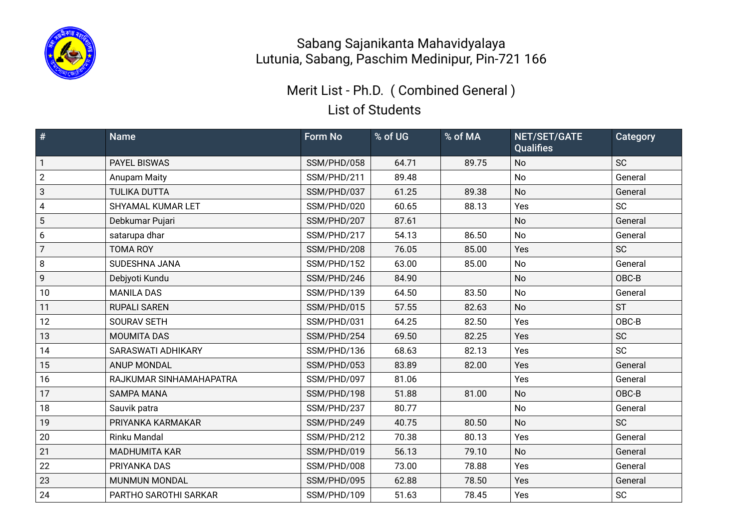

List of Students Merit List - Ph.D. ( Combined General )

| $\#$           | <b>Name</b>               | Form No     | % of UG | % of MA | NET/SET/GATE<br><b>Qualifies</b> | Category  |
|----------------|---------------------------|-------------|---------|---------|----------------------------------|-----------|
| $\mathbf{1}$   | <b>PAYEL BISWAS</b>       | SSM/PHD/058 | 64.71   | 89.75   | No                               | <b>SC</b> |
| $\overline{2}$ | Anupam Maity              | SSM/PHD/211 | 89.48   |         | <b>No</b>                        | General   |
| 3              | <b>TULIKA DUTTA</b>       | SSM/PHD/037 | 61.25   | 89.38   | <b>No</b>                        | General   |
| $\pmb{4}$      | SHYAMAL KUMAR LET         | SSM/PHD/020 | 60.65   | 88.13   | Yes                              | <b>SC</b> |
| 5              | Debkumar Pujari           | SSM/PHD/207 | 87.61   |         | No                               | General   |
| 6              | satarupa dhar             | SSM/PHD/217 | 54.13   | 86.50   | <b>No</b>                        | General   |
| $\overline{7}$ | <b>TOMA ROY</b>           | SSM/PHD/208 | 76.05   | 85.00   | Yes                              | <b>SC</b> |
| 8              | SUDESHNA JANA             | SSM/PHD/152 | 63.00   | 85.00   | No                               | General   |
| $\mathsf{g}$   | Debjyoti Kundu            | SSM/PHD/246 | 84.90   |         | No                               | OBC-B     |
| 10             | <b>MANILA DAS</b>         | SSM/PHD/139 | 64.50   | 83.50   | No                               | General   |
| 11             | <b>RUPALI SAREN</b>       | SSM/PHD/015 | 57.55   | 82.63   | <b>No</b>                        | <b>ST</b> |
| 12             | SOURAV SETH               | SSM/PHD/031 | 64.25   | 82.50   | Yes                              | OBC-B     |
| 13             | <b>MOUMITA DAS</b>        | SSM/PHD/254 | 69.50   | 82.25   | Yes                              | <b>SC</b> |
| 14             | <b>SARASWATI ADHIKARY</b> | SSM/PHD/136 | 68.63   | 82.13   | Yes                              | <b>SC</b> |
| 15             | <b>ANUP MONDAL</b>        | SSM/PHD/053 | 83.89   | 82.00   | Yes                              | General   |
| 16             | RAJKUMAR SINHAMAHAPATRA   | SSM/PHD/097 | 81.06   |         | Yes                              | General   |
| 17             | <b>SAMPA MANA</b>         | SSM/PHD/198 | 51.88   | 81.00   | <b>No</b>                        | OBC-B     |
| 18             | Sauvik patra              | SSM/PHD/237 | 80.77   |         | No                               | General   |
| 19             | PRIYANKA KARMAKAR         | SSM/PHD/249 | 40.75   | 80.50   | No                               | <b>SC</b> |
| 20             | Rinku Mandal              | SSM/PHD/212 | 70.38   | 80.13   | Yes                              | General   |
| 21             | <b>MADHUMITA KAR</b>      | SSM/PHD/019 | 56.13   | 79.10   | <b>No</b>                        | General   |
| 22             | PRIYANKA DAS              | SSM/PHD/008 | 73.00   | 78.88   | Yes                              | General   |
| 23             | <b>MUNMUN MONDAL</b>      | SSM/PHD/095 | 62.88   | 78.50   | Yes                              | General   |
| 24             | PARTHO SAROTHI SARKAR     | SSM/PHD/109 | 51.63   | 78.45   | Yes                              | <b>SC</b> |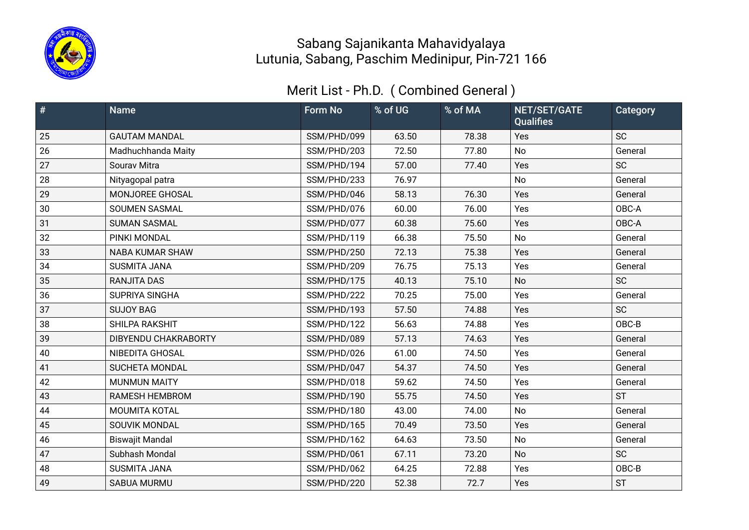

| #  | <b>Name</b>            | <b>Form No</b> | % of UG | % of MA | NET/SET/GATE<br><b>Qualifies</b> | Category  |
|----|------------------------|----------------|---------|---------|----------------------------------|-----------|
| 25 | <b>GAUTAM MANDAL</b>   | SSM/PHD/099    | 63.50   | 78.38   | Yes                              | <b>SC</b> |
| 26 | Madhuchhanda Maity     | SSM/PHD/203    | 72.50   | 77.80   | No                               | General   |
| 27 | Sourav Mitra           | SSM/PHD/194    | 57.00   | 77.40   | Yes                              | <b>SC</b> |
| 28 | Nityagopal patra       | SSM/PHD/233    | 76.97   |         | No                               | General   |
| 29 | MONJOREE GHOSAL        | SSM/PHD/046    | 58.13   | 76.30   | Yes                              | General   |
| 30 | <b>SOUMEN SASMAL</b>   | SSM/PHD/076    | 60.00   | 76.00   | Yes                              | OBC-A     |
| 31 | <b>SUMAN SASMAL</b>    | SSM/PHD/077    | 60.38   | 75.60   | Yes                              | OBC-A     |
| 32 | PINKI MONDAL           | SSM/PHD/119    | 66.38   | 75.50   | <b>No</b>                        | General   |
| 33 | <b>NABA KUMAR SHAW</b> | SSM/PHD/250    | 72.13   | 75.38   | Yes                              | General   |
| 34 | <b>SUSMITA JANA</b>    | SSM/PHD/209    | 76.75   | 75.13   | Yes                              | General   |
| 35 | <b>RANJITA DAS</b>     | SSM/PHD/175    | 40.13   | 75.10   | <b>No</b>                        | <b>SC</b> |
| 36 | SUPRIYA SINGHA         | SSM/PHD/222    | 70.25   | 75.00   | Yes                              | General   |
| 37 | <b>SUJOY BAG</b>       | SSM/PHD/193    | 57.50   | 74.88   | Yes                              | <b>SC</b> |
| 38 | SHILPA RAKSHIT         | SSM/PHD/122    | 56.63   | 74.88   | Yes                              | OBC-B     |
| 39 | DIBYENDU CHAKRABORTY   | SSM/PHD/089    | 57.13   | 74.63   | Yes                              | General   |
| 40 | NIBEDITA GHOSAL        | SSM/PHD/026    | 61.00   | 74.50   | Yes                              | General   |
| 41 | <b>SUCHETA MONDAL</b>  | SSM/PHD/047    | 54.37   | 74.50   | Yes                              | General   |
| 42 | <b>MUNMUN MAITY</b>    | SSM/PHD/018    | 59.62   | 74.50   | Yes                              | General   |
| 43 | RAMESH HEMBROM         | SSM/PHD/190    | 55.75   | 74.50   | Yes                              | <b>ST</b> |
| 44 | MOUMITA KOTAL          | SSM/PHD/180    | 43.00   | 74.00   | No                               | General   |
| 45 | SOUVIK MONDAL          | SSM/PHD/165    | 70.49   | 73.50   | Yes                              | General   |
| 46 | <b>Biswajit Mandal</b> | SSM/PHD/162    | 64.63   | 73.50   | <b>No</b>                        | General   |
| 47 | Subhash Mondal         | SSM/PHD/061    | 67.11   | 73.20   | <b>No</b>                        | SC        |
| 48 | <b>SUSMITA JANA</b>    | SSM/PHD/062    | 64.25   | 72.88   | Yes                              | OBC-B     |
| 49 | SABUA MURMU            | SSM/PHD/220    | 52.38   | 72.7    | Yes                              | <b>ST</b> |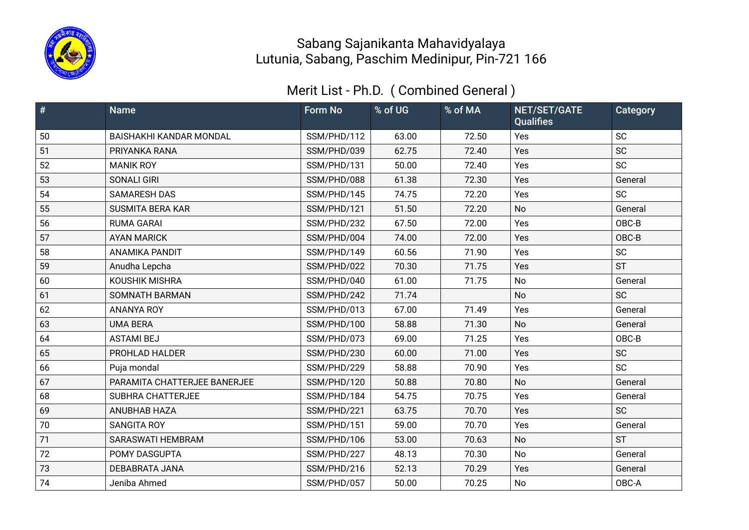

| #  | <b>Name</b>                    | <b>Form No</b> | % of UG | % of MA | NET/SET/GATE<br><b>Qualifies</b> | Category  |
|----|--------------------------------|----------------|---------|---------|----------------------------------|-----------|
| 50 | <b>BAISHAKHI KANDAR MONDAL</b> | SSM/PHD/112    | 63.00   | 72.50   | Yes                              | <b>SC</b> |
| 51 | PRIYANKA RANA                  | SSM/PHD/039    | 62.75   | 72.40   | Yes                              | <b>SC</b> |
| 52 | <b>MANIK ROY</b>               | SSM/PHD/131    | 50.00   | 72.40   | Yes                              | <b>SC</b> |
| 53 | <b>SONALI GIRI</b>             | SSM/PHD/088    | 61.38   | 72.30   | Yes                              | General   |
| 54 | <b>SAMARESH DAS</b>            | SSM/PHD/145    | 74.75   | 72.20   | Yes                              | <b>SC</b> |
| 55 | <b>SUSMITA BERA KAR</b>        | SSM/PHD/121    | 51.50   | 72.20   | <b>No</b>                        | General   |
| 56 | <b>RUMA GARAI</b>              | SSM/PHD/232    | 67.50   | 72.00   | Yes                              | OBC-B     |
| 57 | <b>AYAN MARICK</b>             | SSM/PHD/004    | 74.00   | 72.00   | Yes                              | OBC-B     |
| 58 | <b>ANAMIKA PANDIT</b>          | SSM/PHD/149    | 60.56   | 71.90   | Yes                              | <b>SC</b> |
| 59 | Anudha Lepcha                  | SSM/PHD/022    | 70.30   | 71.75   | Yes                              | <b>ST</b> |
| 60 | <b>KOUSHIK MISHRA</b>          | SSM/PHD/040    | 61.00   | 71.75   | No                               | General   |
| 61 | SOMNATH BARMAN                 | SSM/PHD/242    | 71.74   |         | <b>No</b>                        | <b>SC</b> |
| 62 | <b>ANANYA ROY</b>              | SSM/PHD/013    | 67.00   | 71.49   | Yes                              | General   |
| 63 | <b>UMA BERA</b>                | SSM/PHD/100    | 58.88   | 71.30   | <b>No</b>                        | General   |
| 64 | <b>ASTAMI BEJ</b>              | SSM/PHD/073    | 69.00   | 71.25   | Yes                              | OBC-B     |
| 65 | PROHLAD HALDER                 | SSM/PHD/230    | 60.00   | 71.00   | Yes                              | <b>SC</b> |
| 66 | Puja mondal                    | SSM/PHD/229    | 58.88   | 70.90   | Yes                              | <b>SC</b> |
| 67 | PARAMITA CHATTERJEE BANERJEE   | SSM/PHD/120    | 50.88   | 70.80   | <b>No</b>                        | General   |
| 68 | <b>SUBHRA CHATTERJEE</b>       | SSM/PHD/184    | 54.75   | 70.75   | Yes                              | General   |
| 69 | ANUBHAB HAZA                   | SSM/PHD/221    | 63.75   | 70.70   | Yes                              | <b>SC</b> |
| 70 | <b>SANGITA ROY</b>             | SSM/PHD/151    | 59.00   | 70.70   | Yes                              | General   |
| 71 | <b>SARASWATI HEMBRAM</b>       | SSM/PHD/106    | 53.00   | 70.63   | <b>No</b>                        | <b>ST</b> |
| 72 | POMY DASGUPTA                  | SSM/PHD/227    | 48.13   | 70.30   | <b>No</b>                        | General   |
| 73 | DEBABRATA JANA                 | SSM/PHD/216    | 52.13   | 70.29   | Yes                              | General   |
| 74 | Jeniba Ahmed                   | SSM/PHD/057    | 50.00   | 70.25   | No                               | OBC-A     |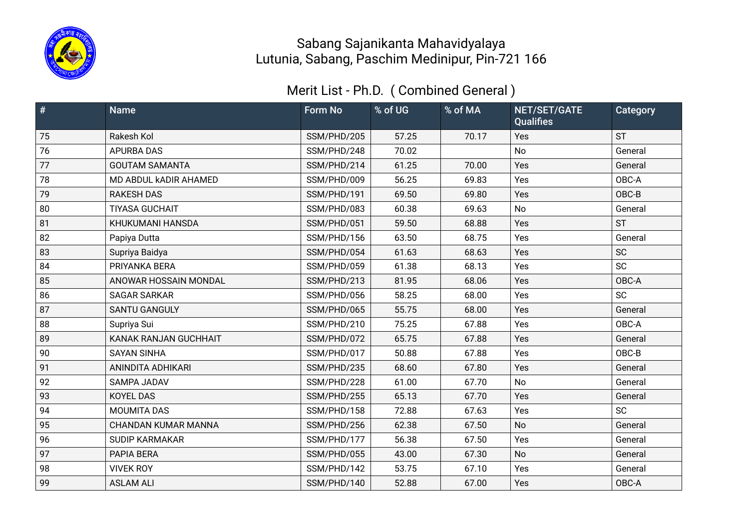

| #  | <b>Name</b>                  | <b>Form No</b> | % of UG | % of MA | NET/SET/GATE<br><b>Qualifies</b> | Category  |
|----|------------------------------|----------------|---------|---------|----------------------------------|-----------|
| 75 | Rakesh Kol                   | SSM/PHD/205    | 57.25   | 70.17   | Yes                              | <b>ST</b> |
| 76 | <b>APURBA DAS</b>            | SSM/PHD/248    | 70.02   |         | <b>No</b>                        | General   |
| 77 | <b>GOUTAM SAMANTA</b>        | SSM/PHD/214    | 61.25   | 70.00   | Yes                              | General   |
| 78 | MD ABDUL KADIR AHAMED        | SSM/PHD/009    | 56.25   | 69.83   | Yes                              | OBC-A     |
| 79 | <b>RAKESH DAS</b>            | SSM/PHD/191    | 69.50   | 69.80   | Yes                              | OBC-B     |
| 80 | <b>TIYASA GUCHAIT</b>        | SSM/PHD/083    | 60.38   | 69.63   | No                               | General   |
| 81 | KHUKUMANI HANSDA             | SSM/PHD/051    | 59.50   | 68.88   | Yes                              | <b>ST</b> |
| 82 | Papiya Dutta                 | SSM/PHD/156    | 63.50   | 68.75   | Yes                              | General   |
| 83 | Supriya Baidya               | SSM/PHD/054    | 61.63   | 68.63   | Yes                              | SC        |
| 84 | PRIYANKA BERA                | SSM/PHD/059    | 61.38   | 68.13   | Yes                              | <b>SC</b> |
| 85 | ANOWAR HOSSAIN MONDAL        | SSM/PHD/213    | 81.95   | 68.06   | Yes                              | OBC-A     |
| 86 | <b>SAGAR SARKAR</b>          | SSM/PHD/056    | 58.25   | 68.00   | Yes                              | <b>SC</b> |
| 87 | <b>SANTU GANGULY</b>         | SSM/PHD/065    | 55.75   | 68.00   | Yes                              | General   |
| 88 | Supriya Sui                  | SSM/PHD/210    | 75.25   | 67.88   | Yes                              | OBC-A     |
| 89 | <b>KANAK RANJAN GUCHHAIT</b> | SSM/PHD/072    | 65.75   | 67.88   | Yes                              | General   |
| 90 | <b>SAYAN SINHA</b>           | SSM/PHD/017    | 50.88   | 67.88   | Yes                              | OBC-B     |
| 91 | ANINDITA ADHIKARI            | SSM/PHD/235    | 68.60   | 67.80   | Yes                              | General   |
| 92 | SAMPA JADAV                  | SSM/PHD/228    | 61.00   | 67.70   | <b>No</b>                        | General   |
| 93 | <b>KOYEL DAS</b>             | SSM/PHD/255    | 65.13   | 67.70   | Yes                              | General   |
| 94 | <b>MOUMITA DAS</b>           | SSM/PHD/158    | 72.88   | 67.63   | Yes                              | <b>SC</b> |
| 95 | CHANDAN KUMAR MANNA          | SSM/PHD/256    | 62.38   | 67.50   | No                               | General   |
| 96 | <b>SUDIP KARMAKAR</b>        | SSM/PHD/177    | 56.38   | 67.50   | Yes                              | General   |
| 97 | PAPIA BERA                   | SSM/PHD/055    | 43.00   | 67.30   | <b>No</b>                        | General   |
| 98 | <b>VIVEK ROY</b>             | SSM/PHD/142    | 53.75   | 67.10   | Yes                              | General   |
| 99 | <b>ASLAM ALI</b>             | SSM/PHD/140    | 52.88   | 67.00   | Yes                              | OBC-A     |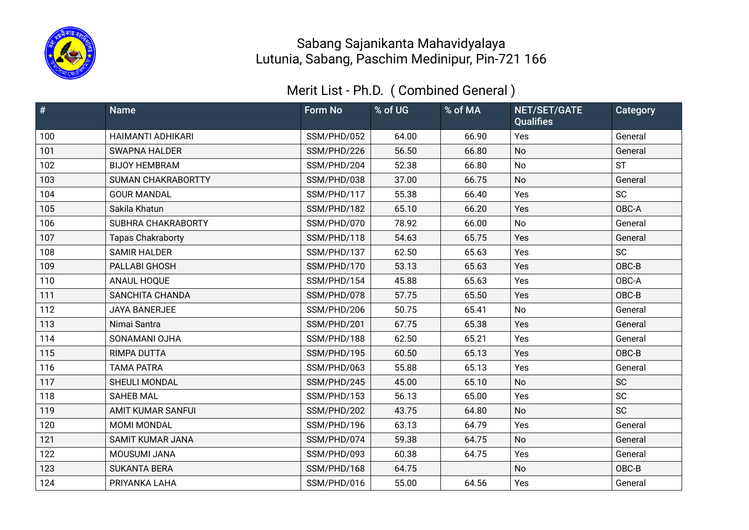

| $\vert \#$ | <b>Name</b>               | <b>Form No</b> | % of UG | % of MA | NET/SET/GATE<br><b>Qualifies</b> | Category  |
|------------|---------------------------|----------------|---------|---------|----------------------------------|-----------|
| 100        | <b>HAIMANTI ADHIKARI</b>  | SSM/PHD/052    | 64.00   | 66.90   | Yes                              | General   |
| 101        | <b>SWAPNA HALDER</b>      | SSM/PHD/226    | 56.50   | 66.80   | No                               | General   |
| 102        | <b>BIJOY HEMBRAM</b>      | SSM/PHD/204    | 52.38   | 66.80   | <b>No</b>                        | <b>ST</b> |
| 103        | <b>SUMAN CHAKRABORTTY</b> | SSM/PHD/038    | 37.00   | 66.75   | No                               | General   |
| 104        | <b>GOUR MANDAL</b>        | SSM/PHD/117    | 55.38   | 66.40   | Yes                              | <b>SC</b> |
| 105        | Sakila Khatun             | SSM/PHD/182    | 65.10   | 66.20   | Yes                              | OBC-A     |
| 106        | SUBHRA CHAKRABORTY        | SSM/PHD/070    | 78.92   | 66.00   | No                               | General   |
| 107        | <b>Tapas Chakraborty</b>  | SSM/PHD/118    | 54.63   | 65.75   | Yes                              | General   |
| 108        | <b>SAMIR HALDER</b>       | SSM/PHD/137    | 62.50   | 65.63   | Yes                              | <b>SC</b> |
| 109        | PALLABI GHOSH             | SSM/PHD/170    | 53.13   | 65.63   | Yes                              | OBC-B     |
| 110        | ANAUL HOQUE               | SSM/PHD/154    | 45.88   | 65.63   | Yes                              | OBC-A     |
| 111        | SANCHITA CHANDA           | SSM/PHD/078    | 57.75   | 65.50   | Yes                              | OBC-B     |
| 112        | <b>JAYA BANERJEE</b>      | SSM/PHD/206    | 50.75   | 65.41   | <b>No</b>                        | General   |
| 113        | Nimai Santra              | SSM/PHD/201    | 67.75   | 65.38   | Yes                              | General   |
| 114        | SONAMANI OJHA             | SSM/PHD/188    | 62.50   | 65.21   | Yes                              | General   |
| 115        | RIMPA DUTTA               | SSM/PHD/195    | 60.50   | 65.13   | Yes                              | OBC-B     |
| 116        | <b>TAMA PATRA</b>         | SSM/PHD/063    | 55.88   | 65.13   | Yes                              | General   |
| 117        | SHEULI MONDAL             | SSM/PHD/245    | 45.00   | 65.10   | <b>No</b>                        | <b>SC</b> |
| 118        | <b>SAHEB MAL</b>          | SSM/PHD/153    | 56.13   | 65.00   | Yes                              | <b>SC</b> |
| 119        | <b>AMIT KUMAR SANFUI</b>  | SSM/PHD/202    | 43.75   | 64.80   | No                               | <b>SC</b> |
| 120        | MOMI MONDAL               | SSM/PHD/196    | 63.13   | 64.79   | Yes                              | General   |
| 121        | <b>SAMIT KUMAR JANA</b>   | SSM/PHD/074    | 59.38   | 64.75   | <b>No</b>                        | General   |
| 122        | MOUSUMI JANA              | SSM/PHD/093    | 60.38   | 64.75   | Yes                              | General   |
| 123        | <b>SUKANTA BERA</b>       | SSM/PHD/168    | 64.75   |         | No                               | OBC-B     |
| 124        | PRIYANKA LAHA             | SSM/PHD/016    | 55.00   | 64.56   | Yes                              | General   |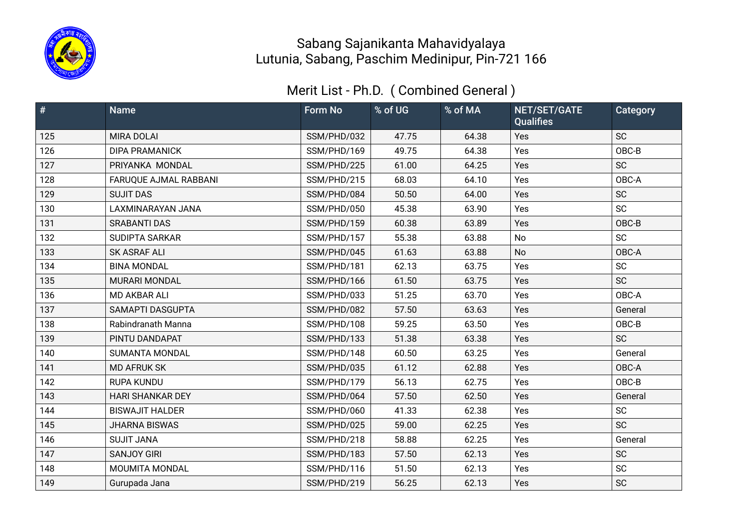

| $\vert \#$ | <b>Name</b>             | <b>Form No</b> | % of UG | % of MA | NET/SET/GATE<br><b>Qualifies</b> | Category  |
|------------|-------------------------|----------------|---------|---------|----------------------------------|-----------|
| 125        | <b>MIRA DOLAI</b>       | SSM/PHD/032    | 47.75   | 64.38   | Yes                              | <b>SC</b> |
| 126        | <b>DIPA PRAMANICK</b>   | SSM/PHD/169    | 49.75   | 64.38   | Yes                              | OBC-B     |
| 127        | PRIYANKA MONDAL         | SSM/PHD/225    | 61.00   | 64.25   | Yes                              | <b>SC</b> |
| 128        | FARUQUE AJMAL RABBANI   | SSM/PHD/215    | 68.03   | 64.10   | Yes                              | OBC-A     |
| 129        | <b>SUJIT DAS</b>        | SSM/PHD/084    | 50.50   | 64.00   | Yes                              | <b>SC</b> |
| 130        | LAXMINARAYAN JANA       | SSM/PHD/050    | 45.38   | 63.90   | Yes                              | <b>SC</b> |
| 131        | <b>SRABANTI DAS</b>     | SSM/PHD/159    | 60.38   | 63.89   | Yes                              | OBC-B     |
| 132        | <b>SUDIPTA SARKAR</b>   | SSM/PHD/157    | 55.38   | 63.88   | No                               | <b>SC</b> |
| 133        | <b>SK ASRAF ALI</b>     | SSM/PHD/045    | 61.63   | 63.88   | No                               | OBC-A     |
| 134        | <b>BINA MONDAL</b>      | SSM/PHD/181    | 62.13   | 63.75   | Yes                              | <b>SC</b> |
| 135        | MURARI MONDAL           | SSM/PHD/166    | 61.50   | 63.75   | Yes                              | <b>SC</b> |
| 136        | MD AKBAR ALI            | SSM/PHD/033    | 51.25   | 63.70   | Yes                              | OBC-A     |
| 137        | SAMAPTI DASGUPTA        | SSM/PHD/082    | 57.50   | 63.63   | Yes                              | General   |
| 138        | Rabindranath Manna      | SSM/PHD/108    | 59.25   | 63.50   | Yes                              | OBC-B     |
| 139        | PINTU DANDAPAT          | SSM/PHD/133    | 51.38   | 63.38   | Yes                              | <b>SC</b> |
| 140        | <b>SUMANTA MONDAL</b>   | SSM/PHD/148    | 60.50   | 63.25   | Yes                              | General   |
| 141        | <b>MD AFRUK SK</b>      | SSM/PHD/035    | 61.12   | 62.88   | Yes                              | OBC-A     |
| 142        | <b>RUPA KUNDU</b>       | SSM/PHD/179    | 56.13   | 62.75   | Yes                              | OBC-B     |
| 143        | <b>HARI SHANKAR DEY</b> | SSM/PHD/064    | 57.50   | 62.50   | Yes                              | General   |
| 144        | <b>BISWAJIT HALDER</b>  | SSM/PHD/060    | 41.33   | 62.38   | Yes                              | <b>SC</b> |
| 145        | <b>JHARNA BISWAS</b>    | SSM/PHD/025    | 59.00   | 62.25   | Yes                              | <b>SC</b> |
| 146        | <b>SUJIT JANA</b>       | SSM/PHD/218    | 58.88   | 62.25   | Yes                              | General   |
| 147        | <b>SANJOY GIRI</b>      | SSM/PHD/183    | 57.50   | 62.13   | Yes                              | <b>SC</b> |
| 148        | MOUMITA MONDAL          | SSM/PHD/116    | 51.50   | 62.13   | Yes                              | <b>SC</b> |
| 149        | Gurupada Jana           | SSM/PHD/219    | 56.25   | 62.13   | Yes                              | SC        |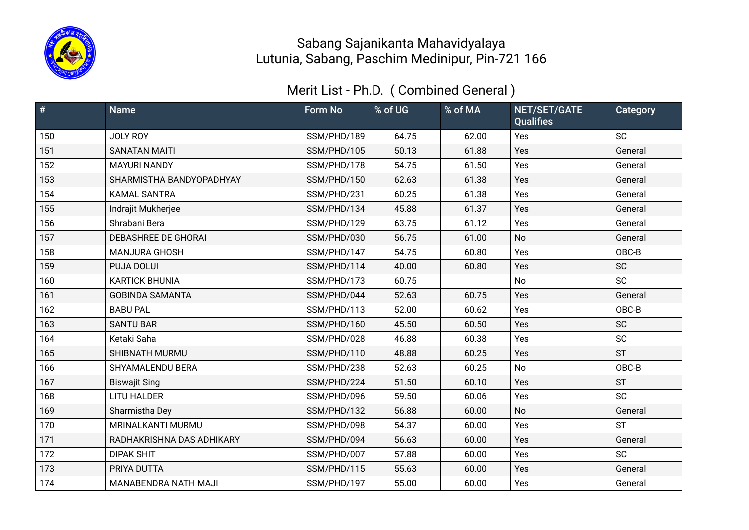

| $\vert \#$ | <b>Name</b>                | <b>Form No</b> | % of UG | % of MA | NET/SET/GATE<br><b>Qualifies</b> | Category  |
|------------|----------------------------|----------------|---------|---------|----------------------------------|-----------|
| 150        | JOLY ROY                   | SSM/PHD/189    | 64.75   | 62.00   | Yes                              | <b>SC</b> |
| 151        | <b>SANATAN MAITI</b>       | SSM/PHD/105    | 50.13   | 61.88   | Yes                              | General   |
| 152        | <b>MAYURI NANDY</b>        | SSM/PHD/178    | 54.75   | 61.50   | Yes                              | General   |
| 153        | SHARMISTHA BANDYOPADHYAY   | SSM/PHD/150    | 62.63   | 61.38   | Yes                              | General   |
| 154        | <b>KAMAL SANTRA</b>        | SSM/PHD/231    | 60.25   | 61.38   | Yes                              | General   |
| 155        | Indrajit Mukherjee         | SSM/PHD/134    | 45.88   | 61.37   | Yes                              | General   |
| 156        | Shrabani Bera              | SSM/PHD/129    | 63.75   | 61.12   | Yes                              | General   |
| 157        | <b>DEBASHREE DE GHORAI</b> | SSM/PHD/030    | 56.75   | 61.00   | <b>No</b>                        | General   |
| 158        | <b>MANJURA GHOSH</b>       | SSM/PHD/147    | 54.75   | 60.80   | Yes                              | OBC-B     |
| 159        | PUJA DOLUI                 | SSM/PHD/114    | 40.00   | 60.80   | Yes                              | <b>SC</b> |
| 160        | <b>KARTICK BHUNIA</b>      | SSM/PHD/173    | 60.75   |         | <b>No</b>                        | <b>SC</b> |
| 161        | <b>GOBINDA SAMANTA</b>     | SSM/PHD/044    | 52.63   | 60.75   | Yes                              | General   |
| 162        | <b>BABU PAL</b>            | SSM/PHD/113    | 52.00   | 60.62   | Yes                              | OBC-B     |
| 163        | <b>SANTU BAR</b>           | SSM/PHD/160    | 45.50   | 60.50   | Yes                              | <b>SC</b> |
| 164        | Ketaki Saha                | SSM/PHD/028    | 46.88   | 60.38   | Yes                              | <b>SC</b> |
| 165        | <b>SHIBNATH MURMU</b>      | SSM/PHD/110    | 48.88   | 60.25   | Yes                              | <b>ST</b> |
| 166        | SHYAMALENDU BERA           | SSM/PHD/238    | 52.63   | 60.25   | <b>No</b>                        | OBC-B     |
| 167        | <b>Biswajit Sing</b>       | SSM/PHD/224    | 51.50   | 60.10   | Yes                              | <b>ST</b> |
| 168        | <b>LITU HALDER</b>         | SSM/PHD/096    | 59.50   | 60.06   | Yes                              | <b>SC</b> |
| 169        | Sharmistha Dey             | SSM/PHD/132    | 56.88   | 60.00   | No                               | General   |
| 170        | MRINALKANTI MURMU          | SSM/PHD/098    | 54.37   | 60.00   | Yes                              | <b>ST</b> |
| 171        | RADHAKRISHNA DAS ADHIKARY  | SSM/PHD/094    | 56.63   | 60.00   | Yes                              | General   |
| 172        | <b>DIPAK SHIT</b>          | SSM/PHD/007    | 57.88   | 60.00   | Yes                              | <b>SC</b> |
| 173        | PRIYA DUTTA                | SSM/PHD/115    | 55.63   | 60.00   | Yes                              | General   |
| 174        | MANABENDRA NATH MAJI       | SSM/PHD/197    | 55.00   | 60.00   | Yes                              | General   |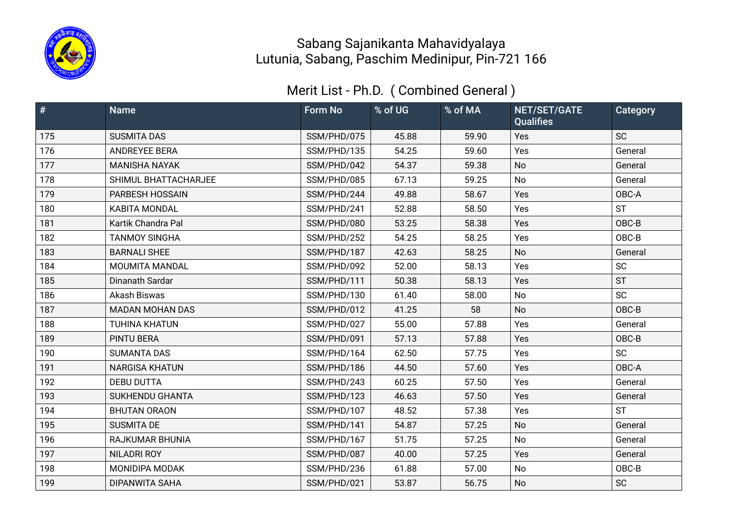

| $\vert \#$ | <b>Name</b>            | <b>Form No</b> | % of UG | % of MA | NET/SET/GATE<br><b>Qualifies</b> | Category  |
|------------|------------------------|----------------|---------|---------|----------------------------------|-----------|
| 175        | <b>SUSMITA DAS</b>     | SSM/PHD/075    | 45.88   | 59.90   | Yes                              | <b>SC</b> |
| 176        | ANDREYEE BERA          | SSM/PHD/135    | 54.25   | 59.60   | Yes                              | General   |
| 177        | <b>MANISHA NAYAK</b>   | SSM/PHD/042    | 54.37   | 59.38   | No                               | General   |
| 178        | SHIMUL BHATTACHARJEE   | SSM/PHD/085    | 67.13   | 59.25   | No                               | General   |
| 179        | PARBESH HOSSAIN        | SSM/PHD/244    | 49.88   | 58.67   | Yes                              | OBC-A     |
| 180        | <b>KABITA MONDAL</b>   | SSM/PHD/241    | 52.88   | 58.50   | Yes                              | <b>ST</b> |
| 181        | Kartik Chandra Pal     | SSM/PHD/080    | 53.25   | 58.38   | Yes                              | OBC-B     |
| 182        | <b>TANMOY SINGHA</b>   | SSM/PHD/252    | 54.25   | 58.25   | Yes                              | OBC-B     |
| 183        | <b>BARNALI SHEE</b>    | SSM/PHD/187    | 42.63   | 58.25   | <b>No</b>                        | General   |
| 184        | MOUMITA MANDAL         | SSM/PHD/092    | 52.00   | 58.13   | Yes                              | <b>SC</b> |
| 185        | Dinanath Sardar        | SSM/PHD/111    | 50.38   | 58.13   | Yes                              | <b>ST</b> |
| 186        | Akash Biswas           | SSM/PHD/130    | 61.40   | 58.00   | No                               | <b>SC</b> |
| 187        | <b>MADAN MOHAN DAS</b> | SSM/PHD/012    | 41.25   | 58      | <b>No</b>                        | OBC-B     |
| 188        | <b>TUHINA KHATUN</b>   | SSM/PHD/027    | 55.00   | 57.88   | Yes                              | General   |
| 189        | PINTU BERA             | SSM/PHD/091    | 57.13   | 57.88   | Yes                              | OBC-B     |
| 190        | <b>SUMANTA DAS</b>     | SSM/PHD/164    | 62.50   | 57.75   | Yes                              | <b>SC</b> |
| 191        | <b>NARGISA KHATUN</b>  | SSM/PHD/186    | 44.50   | 57.60   | Yes                              | OBC-A     |
| 192        | <b>DEBU DUTTA</b>      | SSM/PHD/243    | 60.25   | 57.50   | Yes                              | General   |
| 193        | <b>SUKHENDU GHANTA</b> | SSM/PHD/123    | 46.63   | 57.50   | Yes                              | General   |
| 194        | <b>BHUTAN ORAON</b>    | SSM/PHD/107    | 48.52   | 57.38   | Yes                              | <b>ST</b> |
| 195        | <b>SUSMITA DE</b>      | SSM/PHD/141    | 54.87   | 57.25   | No                               | General   |
| 196        | RAJKUMAR BHUNIA        | SSM/PHD/167    | 51.75   | 57.25   | No                               | General   |
| 197        | <b>NILADRI ROY</b>     | SSM/PHD/087    | 40.00   | 57.25   | Yes                              | General   |
| 198        | MONIDIPA MODAK         | SSM/PHD/236    | 61.88   | 57.00   | No                               | OBC-B     |
| 199        | <b>DIPANWITA SAHA</b>  | SSM/PHD/021    | 53.87   | 56.75   | <b>No</b>                        | <b>SC</b> |